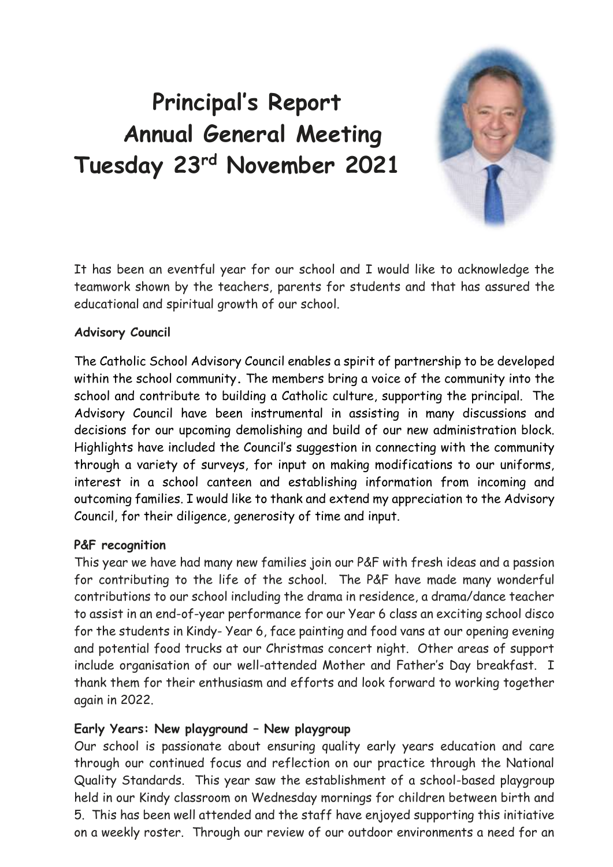# **Principal's Report Annual General Meeting Tuesday 23rd November 2021**



It has been an eventful year for our school and I would like to acknowledge the teamwork shown by the teachers, parents for students and that has assured the educational and spiritual growth of our school.

#### **Advisory Council**

The Catholic School Advisory Council enables a spirit of partnership to be developed within the school community**.** The members bring a voice of the community into the school and contribute to building a Catholic culture, supporting the principal. The Advisory Council have been instrumental in assisting in many discussions and decisions for our upcoming demolishing and build of our new administration block. Highlights have included the Council's suggestion in connecting with the community through a variety of surveys, for input on making modifications to our uniforms, interest in a school canteen and establishing information from incoming and outcoming families. I would like to thank and extend my appreciation to the Advisory Council, for their diligence, generosity of time and input.

## **P&F recognition**

This year we have had many new families join our P&F with fresh ideas and a passion for contributing to the life of the school. The P&F have made many wonderful contributions to our school including the drama in residence, a drama/dance teacher to assist in an end-of-year performance for our Year 6 class an exciting school disco for the students in Kindy- Year 6, face painting and food vans at our opening evening and potential food trucks at our Christmas concert night. Other areas of support include organisation of our well-attended Mother and Father's Day breakfast. I thank them for their enthusiasm and efforts and look forward to working together again in 2022.

#### **Early Years: New playground – New playgroup**

Our school is passionate about ensuring quality early years education and care through our continued focus and reflection on our practice through the National Quality Standards. This year saw the establishment of a school-based playgroup held in our Kindy classroom on Wednesday mornings for children between birth and 5. This has been well attended and the staff have enjoyed supporting this initiative on a weekly roster. Through our review of our outdoor environments a need for an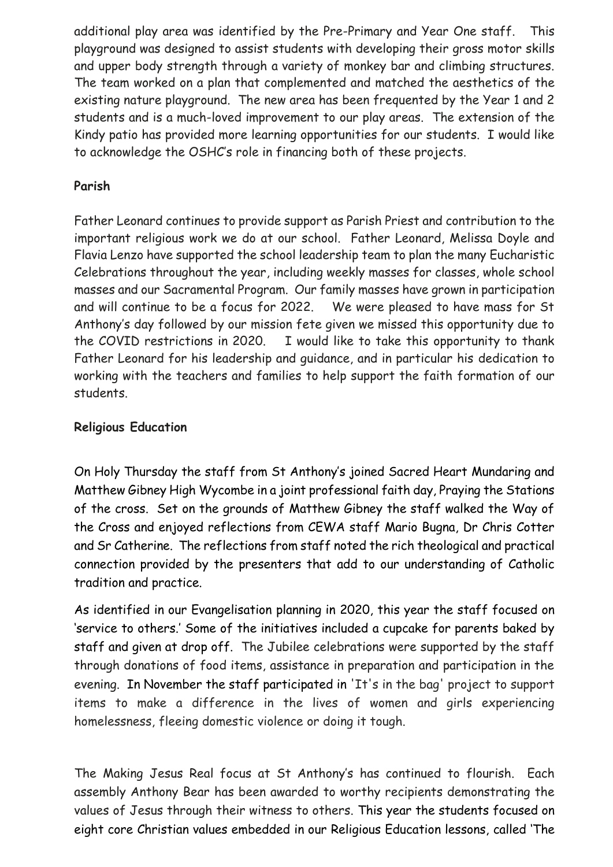additional play area was identified by the Pre-Primary and Year One staff. This playground was designed to assist students with developing their gross motor skills and upper body strength through a variety of monkey bar and climbing structures. The team worked on a plan that complemented and matched the aesthetics of the existing nature playground. The new area has been frequented by the Year 1 and 2 students and is a much-loved improvement to our play areas. The extension of the Kindy patio has provided more learning opportunities for our students. I would like to acknowledge the OSHC's role in financing both of these projects.

## **Parish**

Father Leonard continues to provide support as Parish Priest and contribution to the important religious work we do at our school. Father Leonard, Melissa Doyle and Flavia Lenzo have supported the school leadership team to plan the many Eucharistic Celebrations throughout the year, including weekly masses for classes, whole school masses and our Sacramental Program. Our family masses have grown in participation and will continue to be a focus for 2022. We were pleased to have mass for St Anthony's day followed by our mission fete given we missed this opportunity due to the COVID restrictions in 2020. I would like to take this opportunity to thank Father Leonard for his leadership and guidance, and in particular his dedication to working with the teachers and families to help support the faith formation of our students.

# **Religious Education**

On Holy Thursday the staff from St Anthony's joined Sacred Heart Mundaring and Matthew Gibney High Wycombe in a joint professional faith day, Praying the Stations of the cross. Set on the grounds of Matthew Gibney the staff walked the Way of the Cross and enjoyed reflections from CEWA staff Mario Bugna, Dr Chris Cotter and Sr Catherine. The reflections from staff noted the rich theological and practical connection provided by the presenters that add to our understanding of Catholic tradition and practice.

As identified in our Evangelisation planning in 2020, this year the staff focused on 'service to others.' Some of the initiatives included a cupcake for parents baked by staff and given at drop off. The Jubilee celebrations were supported by the staff through donations of food items, assistance in preparation and participation in the evening. In November the staff participated in 'It's in the bag' project to support items to make a difference in the lives of women and girls experiencing homelessness, fleeing domestic violence or doing it tough.

The Making Jesus Real focus at St Anthony's has continued to flourish. Each assembly Anthony Bear has been awarded to worthy recipients demonstrating the values of Jesus through their witness to others. This year the students focused on eight core Christian values embedded in our Religious Education lessons, called 'The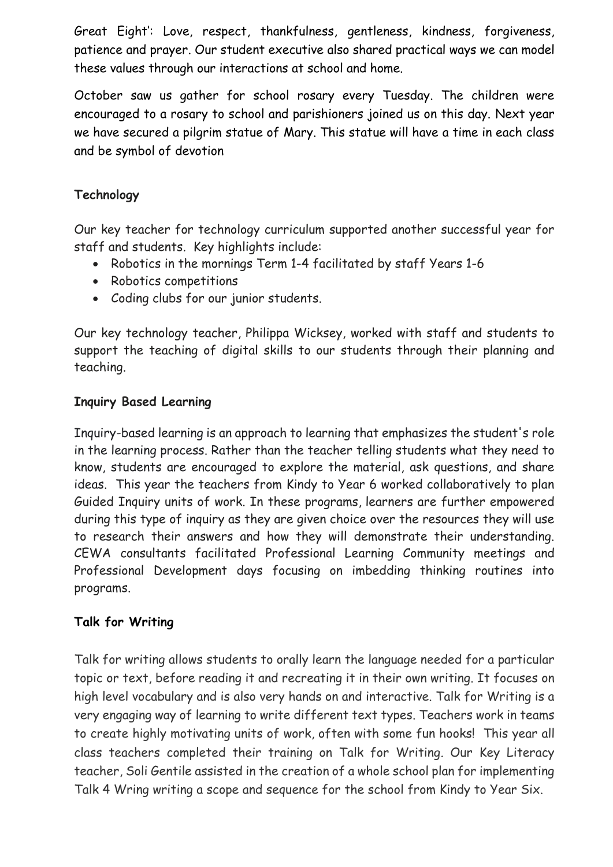Great Eight': Love, respect, thankfulness, gentleness, kindness, forgiveness, patience and prayer. Our student executive also shared practical ways we can model these values through our interactions at school and home.

October saw us gather for school rosary every Tuesday. The children were encouraged to a rosary to school and parishioners joined us on this day. Next year we have secured a pilgrim statue of Mary. This statue will have a time in each class and be symbol of devotion

# **Technology**

Our key teacher for technology curriculum supported another successful year for staff and students. Key highlights include:

- Robotics in the mornings Term 1-4 facilitated by staff Years 1-6
- Robotics competitions
- Coding clubs for our junior students.

Our key technology teacher, Philippa Wicksey, worked with staff and students to support the teaching of digital skills to our students through their planning and teaching.

## **Inquiry Based Learning**

Inquiry-based learning is an approach to learning that emphasizes the student's role in the learning process. Rather than the teacher telling students what they need to know, students are encouraged to explore the material, ask questions, and share ideas. This year the teachers from Kindy to Year 6 worked collaboratively to plan Guided Inquiry units of work. In these programs, learners are further empowered during this type of inquiry as they are given choice over the resources they will use to research their answers and how they will demonstrate their understanding. CEWA consultants facilitated Professional Learning Community meetings and Professional Development days focusing on imbedding thinking routines into programs.

## **Talk for Writing**

Talk for writing allows students to orally learn the language needed for a particular topic or text, before reading it and recreating it in their own writing. It focuses on high level vocabulary and is also very hands on and interactive. Talk for Writing is a very engaging way of learning to write different text types. Teachers work in teams to create highly motivating units of work, often with some fun hooks! This year all class teachers completed their training on Talk for Writing. Our Key Literacy teacher, Soli Gentile assisted in the creation of a whole school plan for implementing Talk 4 Wring writing a scope and sequence for the school from Kindy to Year Six.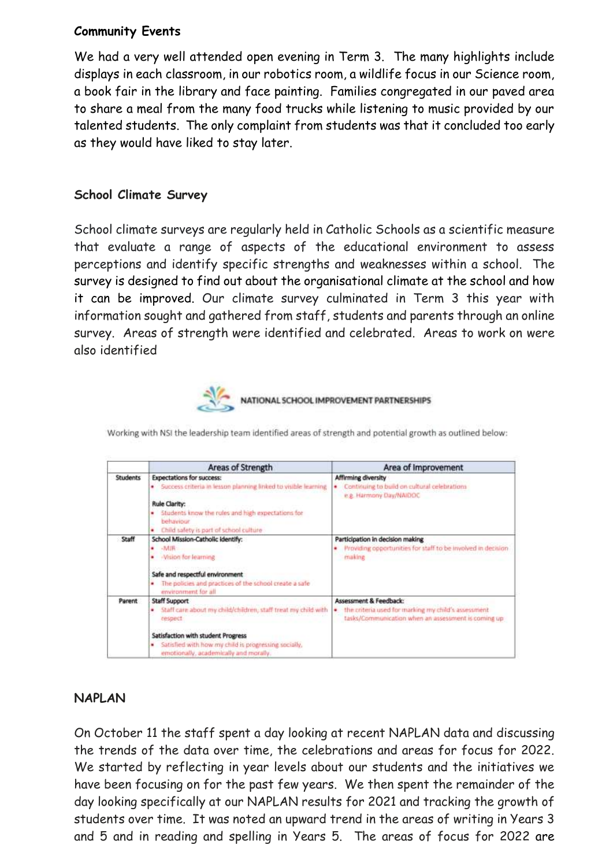## **Community Events**

We had a very well attended open evening in Term 3. The many highlights include displays in each classroom, in our robotics room, a wildlife focus in our Science room, a book fair in the library and face painting. Families congregated in our paved area to share a meal from the many food trucks while listening to music provided by our talented students. The only complaint from students was that it concluded too early as they would have liked to stay later.

#### **School Climate Survey**

School climate surveys are regularly held in Catholic Schools as a scientific measure that evaluate a range of aspects of the educational environment to assess perceptions and identify specific strengths and weaknesses within a school. The survey is designed to find out about the organisational climate at the school and how it can be improved. Our climate survey culminated in Term 3 this year with information sought and gathered from staff, students and parents through an online survey. Areas of strength were identified and celebrated. Areas to work on were also identified



NATIONAL SCHOOL IMPROVEMENT PARTNERSHIPS

|                 | Areas of Strength                                                                                                                                                                                                                                  | Area of Improvement                                                                                                                       |
|-----------------|----------------------------------------------------------------------------------------------------------------------------------------------------------------------------------------------------------------------------------------------------|-------------------------------------------------------------------------------------------------------------------------------------------|
| <b>Students</b> | <b>Expectations for success:</b><br>Success criteria in lesson planning linked to visible learning<br>Rule Clarity:<br>Students know the rules and high expectations for<br>hehaviour<br>Child safety is part of school culture<br>٠               | Affirming diversity<br>Continuing to build on cultural celebrations<br>e.g. Harmony Day/NAIDOC                                            |
| Staff           | School Mission-Catholic identify:<br>$-MIR$<br>-Vision for learning<br>٠<br>Safe and respectful environment<br>The policies and practices of the school create a safe<br>٠<br>environment for all.                                                 | Participation in decision making<br>Providing opportunities for staff to be involved in decision<br>making                                |
| Parent          | <b>Staff Support</b><br>Staff care about my child/children, staff treat my child with<br>٠<br>respect<br>Satisfaction with student Progress<br>Satisfied with how my child is progressing socially,<br>٠<br>emotionally, academically and morally. | Assessment & Feedback:<br>the criteria used for marking my child's assessment<br>٠<br>tasks/Communication when an assessment is coming up |

Working with NSI the leadership team identified areas of strength and potential growth as outlined below:

#### **NAPLAN**

On October 11 the staff spent a day looking at recent NAPLAN data and discussing the trends of the data over time, the celebrations and areas for focus for 2022. We started by reflecting in year levels about our students and the initiatives we have been focusing on for the past few years. We then spent the remainder of the day looking specifically at our NAPLAN results for 2021 and tracking the growth of students over time. It was noted an upward trend in the areas of writing in Years 3 and 5 and in reading and spelling in Years 5. The areas of focus for 2022 are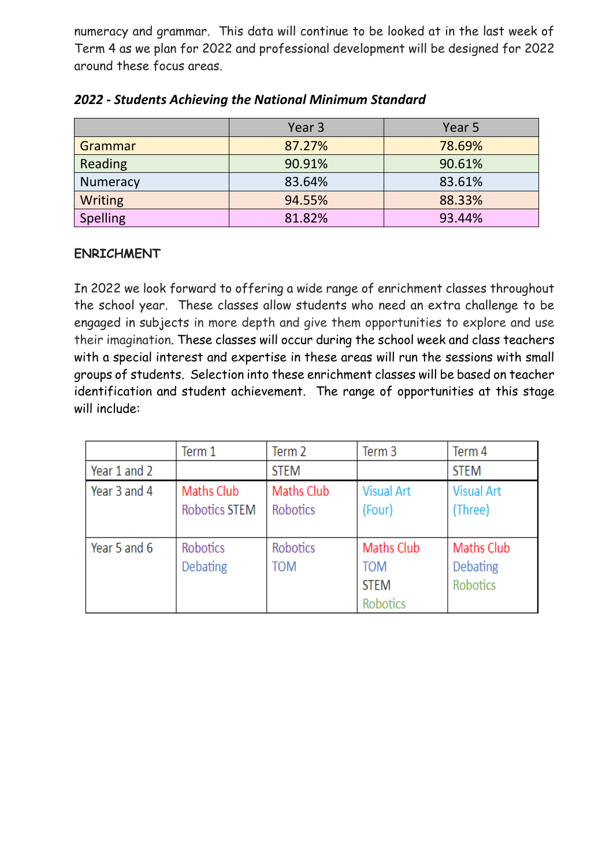numeracy and grammar. This data will continue to be looked at in the last week of Term 4 as we plan for 2022 and professional development will be designed for 2022 around these focus areas.

|                 | Year 3 | Year 5 |  |
|-----------------|--------|--------|--|
| Grammar         | 87.27% | 78.69% |  |
| Reading         | 90.91% | 90.61% |  |
| <b>Numeracy</b> | 83.64% | 83.61% |  |
| Writing         | 94.55% | 88.33% |  |
| <b>Spelling</b> | 81.82% | 93.44% |  |

# *2022 - Students Achieving the National Minimum Standard*

## **ENRICHMENT**

In 2022 we look forward to offering a wide range of enrichment classes throughout the school year. These classes allow students who need an extra challenge to be engaged in subjects in more depth and give them opportunities to explore and use their imagination. These classes will occur during the school week and class teachers with a special interest and expertise in these areas will run the sessions with small groups of students. Selection into these enrichment classes will be based on teacher identification and student achievement. The range of opportunities at this stage will include:

|              | Term 1                             | Term <sub>2</sub>             | Term 3                                                     | Term 4                                    |
|--------------|------------------------------------|-------------------------------|------------------------------------------------------------|-------------------------------------------|
| Year 1 and 2 |                                    | <b>STEM</b>                   |                                                            | <b>STEM</b>                               |
| Year 3 and 4 | Maths Club<br><b>Robotics STEM</b> | <b>Maths Club</b><br>Robotics | <b>Visual Art</b><br>(Four)                                | <b>Visual Art</b><br>(Three)              |
| Year 5 and 6 | <b>Robotics</b><br><b>Debating</b> | Robotics<br><b>TOM</b>        | <b>Maths Club</b><br><b>TOM</b><br><b>STEM</b><br>Robotics | Maths Club<br>Debating<br><b>Robotics</b> |